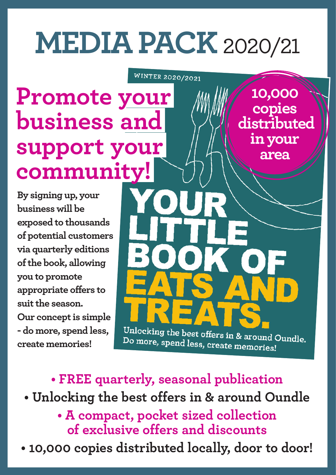# **MEDIA PACK**2020/21

WINTER 2020/2021

**Promote your business and support your community!**

**By signing up, your business will be exposed to thousands of potential customers via quarterly editions of the book, allowing you to promote appropriate offers to suit the season. Our concept is simple - do more, spend less, create memories!**

**10,000 copies<br>distributed in your area**

Unlocking the best offers in & around Oundle. Do more, spend less, create memories!

**• FREE quarterly, seasonal publication**

**• Unlocking the best offers in & around Oundle**

**• A compact, pocket sized collection of exclusive offers and discounts** 

**• 10,000 copies distributed locally, door to door!**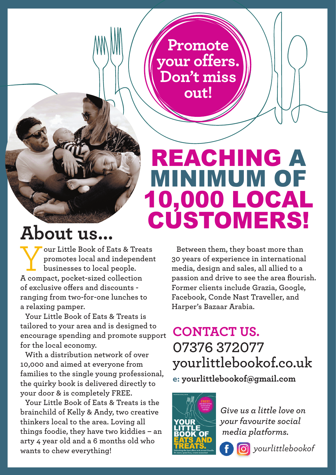**Promote your offers. Don't miss out!**

## REACHING A MINIMUM OF 10,000 LOCAL CUSTOMERS!

## **About us...**

Your Little Book of Eats & Treats<br>
promotes local and independent<br>
businesses to local people. **promotes local and independent businesses to local people. A compact, pocket-sized collection of exclusive offers and discounts ranging from two-for-one lunches to a relaxing pamper.**

**Your Little Book of Eats & Treats is tailored to your area and is designed to encourage spending and promote support for the local economy.**

**With a distribution network of over 10,000 and aimed at everyone from families to the single young professional, the quirky book is delivered directly to your door & is completely FREE.**

**Your Little Book of Eats & Treats is the brainchild of Kelly & Andy, two creative thinkers local to the area. Loving all things foodie, they have two kiddies – an arty 4 year old and a 6 months old who wants to chew everything!**

**Between them, they boast more than 30 years of experience in international media, design and sales, all allied to a passion and drive to see the area flourish. Former clients include Grazia, Google, Facebook, Conde Nast Traveller, and Harper's Bazaar Arabia.**

#### **CONTACT US. 07376 372077 yourlittlebookof.co.uk e: yourlittlebookof@gmail.com**



*Give us a little love on your favourite social media platforms.*



*yourlittlebookof*